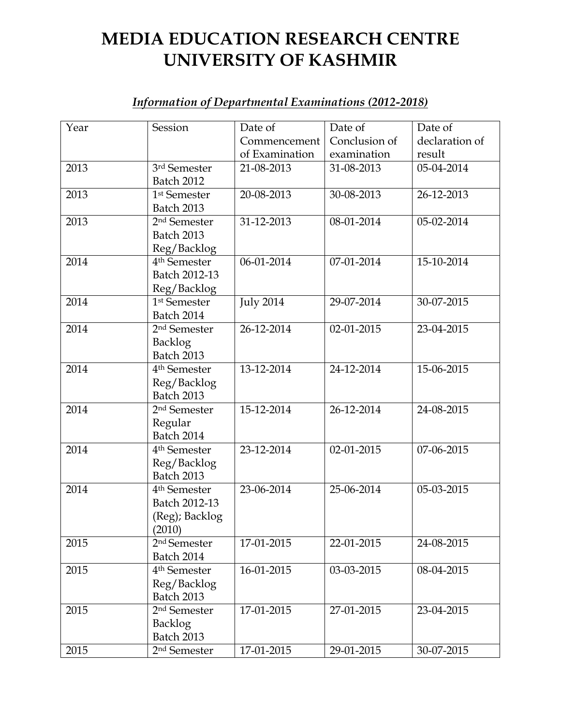## **MEDIA EDUCATION RESEARCH CENTRE UNIVERSITY OF KASHMIR**

## *Information of Departmental Examinations (2012-2018)*

| Year | Session                  | Date of          | Date of          | Date of        |
|------|--------------------------|------------------|------------------|----------------|
|      |                          | Commencement     | Conclusion of    | declaration of |
|      |                          | of Examination   | examination      | result         |
| 2013 | 3rd Semester             | 21-08-2013       | 31-08-2013       | 05-04-2014     |
|      | <b>Batch 2012</b>        |                  |                  |                |
| 2013 | 1 <sup>st</sup> Semester | 20-08-2013       | 30-08-2013       | 26-12-2013     |
|      | <b>Batch 2013</b>        |                  |                  |                |
| 2013 | 2 <sup>nd</sup> Semester | 31-12-2013       | $08 - 01 - 2014$ | 05-02-2014     |
|      | <b>Batch 2013</b>        |                  |                  |                |
|      | Reg/Backlog              |                  |                  |                |
| 2014 | 4 <sup>th</sup> Semester | 06-01-2014       | 07-01-2014       | 15-10-2014     |
|      | Batch 2012-13            |                  |                  |                |
|      | Reg/Backlog              |                  |                  |                |
| 2014 | 1 <sup>st</sup> Semester | <b>July 2014</b> | 29-07-2014       | 30-07-2015     |
|      | Batch 2014               |                  |                  |                |
| 2014 | 2 <sup>nd</sup> Semester | 26-12-2014       | 02-01-2015       | 23-04-2015     |
|      | <b>Backlog</b>           |                  |                  |                |
|      | <b>Batch 2013</b>        |                  |                  |                |
| 2014 | 4 <sup>th</sup> Semester | 13-12-2014       | 24-12-2014       | 15-06-2015     |
|      | Reg/Backlog              |                  |                  |                |
|      | <b>Batch 2013</b>        |                  |                  |                |
| 2014 | 2 <sup>nd</sup> Semester | 15-12-2014       | 26-12-2014       | 24-08-2015     |
|      | Regular                  |                  |                  |                |
|      | <b>Batch 2014</b>        |                  |                  |                |
| 2014 | 4 <sup>th</sup> Semester | 23-12-2014       | 02-01-2015       | 07-06-2015     |
|      | Reg/Backlog              |                  |                  |                |
|      | <b>Batch 2013</b>        |                  |                  |                |
| 2014 | 4 <sup>th</sup> Semester | $23 - 06 - 2014$ | 25-06-2014       | 05-03-2015     |
|      | Batch 2012-13            |                  |                  |                |
|      | (Reg); Backlog           |                  |                  |                |
|      | (2010)                   |                  |                  |                |
| 2015 | 2 <sup>nd</sup> Semester | 17-01-2015       | 22-01-2015       | 24-08-2015     |
|      | Batch 2014               |                  |                  |                |
| 2015 | 4 <sup>th</sup> Semester | 16-01-2015       | 03-03-2015       | 08-04-2015     |
|      | Reg/Backlog              |                  |                  |                |
|      | <b>Batch 2013</b>        |                  |                  |                |
| 2015 | 2 <sup>nd</sup> Semester | 17-01-2015       | 27-01-2015       | 23-04-2015     |
|      | Backlog                  |                  |                  |                |
|      | Batch 2013               |                  |                  |                |
| 2015 | 2 <sup>nd</sup> Semester | 17-01-2015       | 29-01-2015       | 30-07-2015     |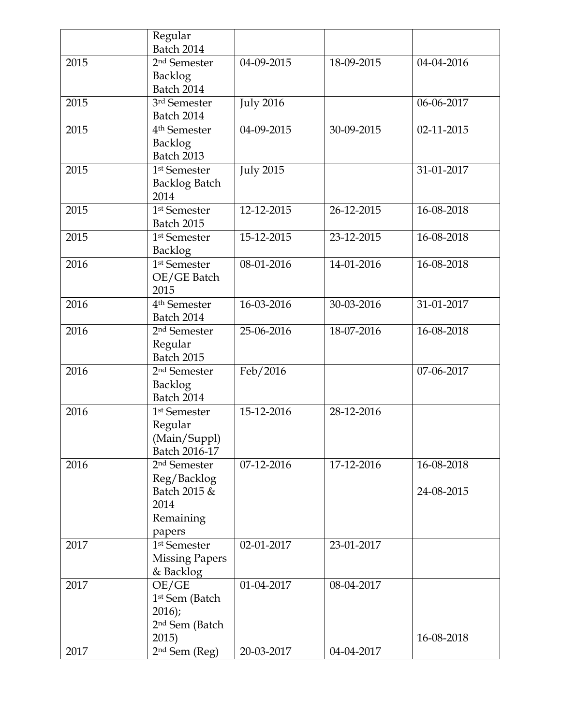|      | Regular<br><b>Batch 2014</b>          |                  |                  |            |
|------|---------------------------------------|------------------|------------------|------------|
| 2015 | 2 <sup>nd</sup> Semester              | 04-09-2015       | 18-09-2015       | 04-04-2016 |
|      | <b>Backlog</b>                        |                  |                  |            |
|      | <b>Batch 2014</b>                     |                  |                  |            |
| 2015 | 3rd Semester                          | <b>July 2016</b> |                  | 06-06-2017 |
|      | <b>Batch 2014</b>                     |                  |                  |            |
| 2015 | 4 <sup>th</sup> Semester              | 04-09-2015       | 30-09-2015       | 02-11-2015 |
|      | <b>Backlog</b>                        |                  |                  |            |
|      | Batch 2013                            |                  |                  |            |
| 2015 | 1 <sup>st</sup> Semester              | <b>July 2015</b> |                  | 31-01-2017 |
|      | <b>Backlog Batch</b>                  |                  |                  |            |
|      | 2014                                  |                  |                  |            |
| 2015 | 1 <sup>st</sup> Semester              | 12-12-2015       | 26-12-2015       | 16-08-2018 |
|      | <b>Batch 2015</b>                     |                  |                  |            |
| 2015 | 1 <sup>st</sup> Semester              | 15-12-2015       | 23-12-2015       | 16-08-2018 |
|      | <b>Backlog</b>                        |                  |                  |            |
| 2016 | $\overline{1}$ <sup>st</sup> Semester | 08-01-2016       | 14-01-2016       | 16-08-2018 |
|      | OE/GE Batch                           |                  |                  |            |
|      | 2015                                  |                  |                  |            |
| 2016 | 4 <sup>th</sup> Semester              | 16-03-2016       | 30-03-2016       | 31-01-2017 |
|      | <b>Batch 2014</b>                     |                  |                  |            |
| 2016 | 2 <sup>nd</sup> Semester              | 25-06-2016       | 18-07-2016       | 16-08-2018 |
|      | Regular                               |                  |                  |            |
|      | <b>Batch 2015</b>                     |                  |                  |            |
| 2016 | 2 <sup>nd</sup> Semester              | Feb/2016         |                  | 07-06-2017 |
|      | <b>Backlog</b><br><b>Batch 2014</b>   |                  |                  |            |
| 2016 | 1 <sup>st</sup> Semester              | 15-12-2016       | 28-12-2016       |            |
|      | Regular                               |                  |                  |            |
|      | (Main/Suppl)                          |                  |                  |            |
|      | Batch 2016-17                         |                  |                  |            |
| 2016 | 2 <sup>nd</sup> Semester              | 07-12-2016       | $17 - 12 - 2016$ | 16-08-2018 |
|      | Reg/Backlog                           |                  |                  |            |
|      | Batch 2015 &                          |                  |                  | 24-08-2015 |
|      | 2014                                  |                  |                  |            |
|      | Remaining                             |                  |                  |            |
|      | papers                                |                  |                  |            |
| 2017 | 1 <sup>st</sup> Semester              | 02-01-2017       | 23-01-2017       |            |
|      | <b>Missing Papers</b>                 |                  |                  |            |
|      | & Backlog                             |                  |                  |            |
| 2017 | OE/GE                                 | 01-04-2017       | 08-04-2017       |            |
|      | 1 <sup>st</sup> Sem (Batch            |                  |                  |            |
|      | 2016);                                |                  |                  |            |
|      | 2 <sup>nd</sup> Sem (Batch            |                  |                  |            |
|      | 2015)                                 |                  |                  | 16-08-2018 |
| 2017 | 2 <sup>nd</sup> Sem (Reg)             | 20-03-2017       | 04-04-2017       |            |